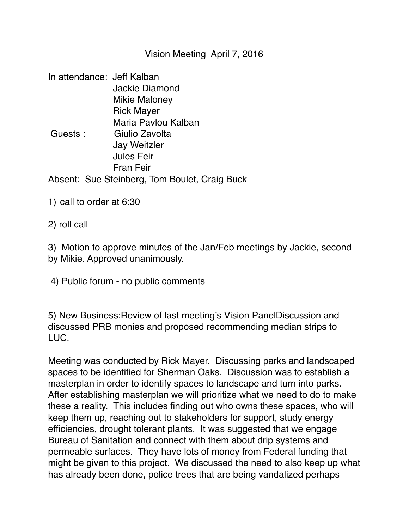Vision Meeting April 7, 2016

| In attendance: Jeff Kalban |                                               |
|----------------------------|-----------------------------------------------|
|                            | Jackie Diamond                                |
|                            | <b>Mikie Maloney</b>                          |
|                            | <b>Rick Mayer</b>                             |
|                            | Maria Pavlou Kalban                           |
| Guests:                    | Giulio Zavolta                                |
|                            | <b>Jay Weitzler</b>                           |
|                            | <b>Jules Feir</b>                             |
|                            | Fran Feir                                     |
|                            | Absent: Sue Steinberg, Tom Boulet, Craig Buck |

1) call to order at 6:30

2) roll call

3) Motion to approve minutes of the Jan/Feb meetings by Jackie, second by Mikie. Approved unanimously.

4) Public forum - no public comments

5) New Business:Review of last meeting's Vision PanelDiscussion and discussed PRB monies and proposed recommending median strips to LUC.

Meeting was conducted by Rick Mayer. Discussing parks and landscaped spaces to be identified for Sherman Oaks. Discussion was to establish a masterplan in order to identify spaces to landscape and turn into parks. After establishing masterplan we will prioritize what we need to do to make these a reality. This includes finding out who owns these spaces, who will keep them up, reaching out to stakeholders for support, study energy efficiencies, drought tolerant plants. It was suggested that we engage Bureau of Sanitation and connect with them about drip systems and permeable surfaces. They have lots of money from Federal funding that might be given to this project. We discussed the need to also keep up what has already been done, police trees that are being vandalized perhaps